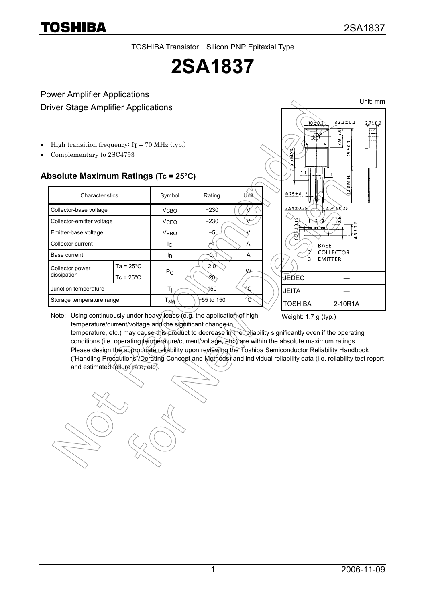TOSHIBA Transistor Silicon PNP Epitaxial Type

# **2SA1837**

#### Power Amplifier Applications Driver Stage Amplifier Applications

- High transition frequency:  $fT = 70$  MHz (typ.)
- Complementary to 2SC4793

#### **Absolute Maximum Ratings (Tc = 25°C)**

| Characteristics                |                     | Symbol                      | Rating       | Unit   |
|--------------------------------|---------------------|-----------------------------|--------------|--------|
| Collector-base voltage         |                     | <b>V<sub>CBO</sub></b>      | $-230$       |        |
| Collector-emitter voltage      |                     | <b>V<sub>CEO</sub></b>      | $-230$       |        |
| Emitter-base voltage           |                     | <b>VEBO</b>                 | -5           |        |
| Collector current              |                     | Ic.                         |              | A      |
| Base current                   |                     | Iв                          | Q.           | A      |
| Collector power<br>dissipation | Ta = $25^{\circ}$ C |                             | 2.0          | W      |
|                                | $Tc = 25^{\circ}C$  | P <sub>C</sub>              | -20          |        |
| Junction temperature           |                     | Ti                          | 150          | $\sim$ |
| Storage temperature range      |                     | $\mathsf{T}_{\mathsf{stg}}$ | $+55$ to 150 | °C     |



Note: Using continuously under heavy loads (e.g. the application of high temperature/current/voltage and the significant change-in

Weight: 1.7 g (typ.)

temperature, etc.) may cause this product to decrease in the reliability significantly even if the operating conditions (i.e. operating temperature/current/voltage, etc.) are within the absolute maximum ratings. Please design the appropriate reliability upon reviewing the Toshiba Semiconductor Reliability Handbook ("Handling Precautions"/Derating Concept and Methods) and individual reliability data (i.e. reliability test report and estimated failure rate, etc).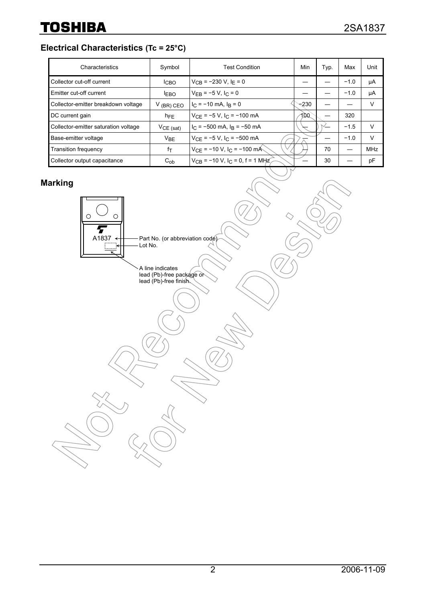**Electrical Characteristics (Tc = 25°C)**

| Characteristics                      | Symbol          | <b>Test Condition</b>                           | Min    | Typ. | Max    | Unit       |
|--------------------------------------|-----------------|-------------------------------------------------|--------|------|--------|------------|
| Collector cut-off current            | <b>ICBO</b>     | $V_{CB}$ = -230 V, I <sub>F</sub> = 0           |        |      | $-1.0$ | μA         |
| Emitter cut-off current              | <b>LEBO</b>     | $V_{EB} = -5 V, I_C = 0$                        |        |      | $-1.0$ | μA         |
| Collector-emitter breakdown voltage  | $V$ (BR) CEO    | $I_C = -10$ mA, $I_R = 0$                       | $-230$ |      |        | V          |
| DC current gain                      | $h_{FE}$        | $V_{CF}$ = -5 V, I <sub>C</sub> = -100 mA       | 100.   |      | 320    |            |
| Collector-emitter saturation voltage | $VCE$ (sat)     | $I_C = -500$ mA, $I_B = -50$ mA                 |        |      | $-1.5$ | $\vee$     |
| Base-emitter voltage                 | V <sub>BE</sub> | $V_{CF}$ = -5 V, I <sub>C</sub> = -500 mA       |        |      | $-1.0$ | $\vee$     |
| <b>Transition frequency</b>          | fτ              | $V_{CE}$ = -10 V, I <sub>C</sub> = -100 mÅ      |        | 70   |        | <b>MHz</b> |
| Collector output capacitance         | $C_{ob}$        | $V_{CB}$ = -10 V, I <sub>C</sub> = 0, f = 1 MHz |        | 30   |        | pF         |

### **Marking**

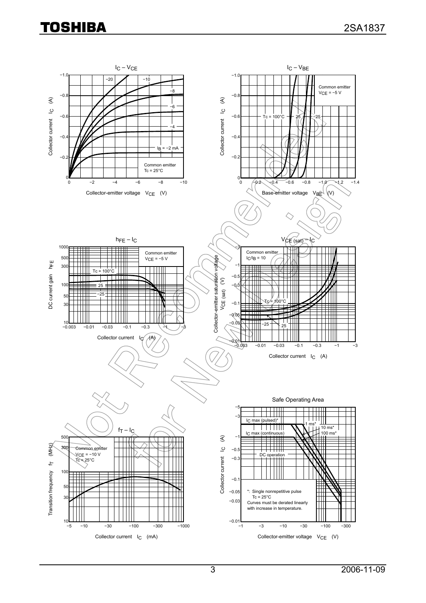## **TOSHIBA**